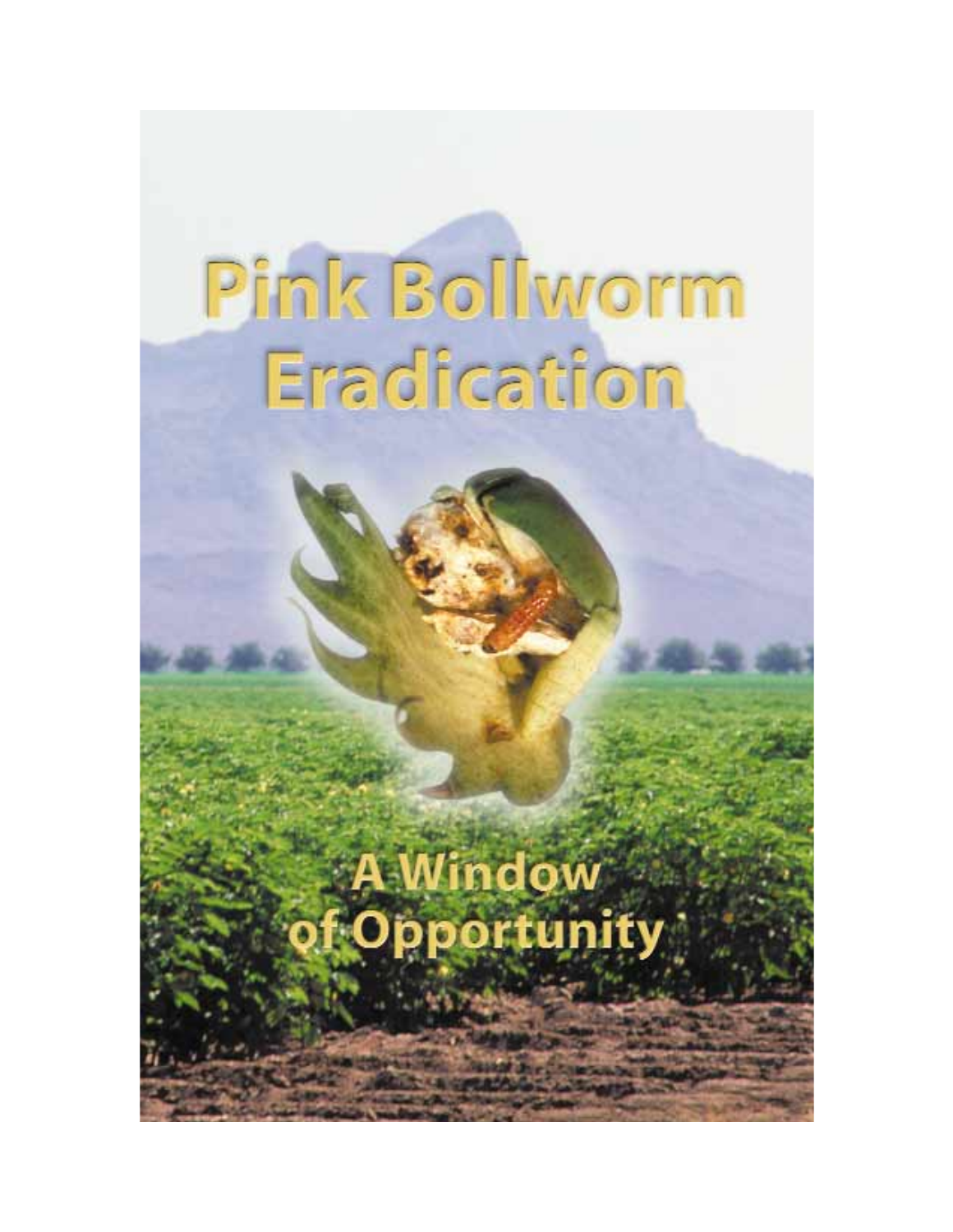## Pink Bollworm Eradication

# **A Window<br>Opportunity**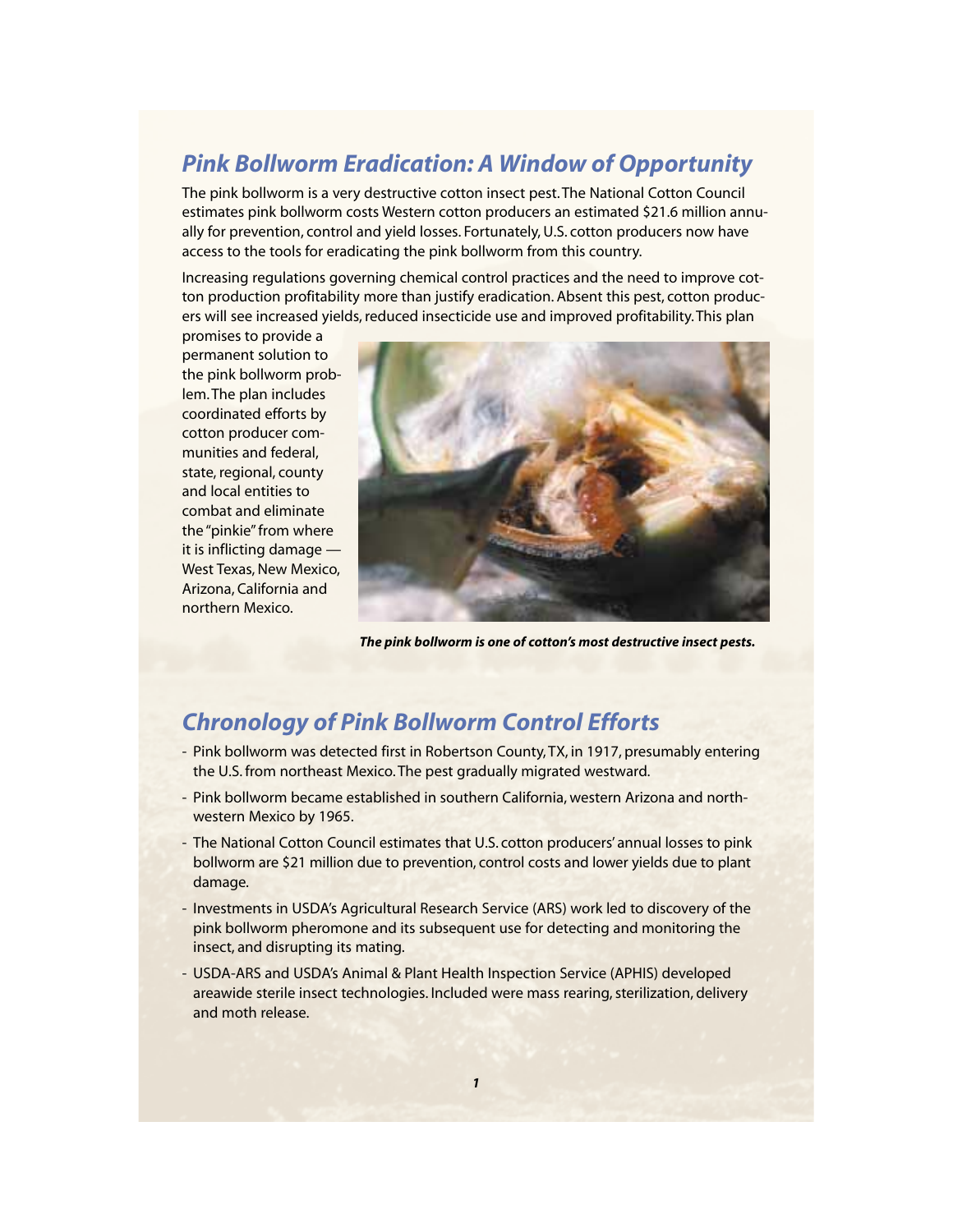#### *Pink Bollworm Eradication: A Window of Opportunity*

The pink bollworm is a very destructive cotton insect pest. The National Cotton Council estimates pink bollworm costs Western cotton producers an estimated \$21.6 million annually for prevention, control and yield losses. Fortunately, U.S. cotton producers now have access to the tools for eradicating the pink bollworm from this country.

Increasing regulations governing chemical control practices and the need to improve cotton production profitability more than justify eradication. Absent this pest, cotton producers will see increased yields, reduced insecticide use and improved profitability. This plan

promises to provide a permanent solution to the pink bollworm problem. The plan includes coordinated efforts by cotton producer communities and federal, state, regional, county and local entities to combat and eliminate the "pinkie" from where it is inflicting damage — West Texas, New Mexico, Arizona, California and northern Mexico.



*The pink bollworm is one of cotton's most destructive insect pests.*

#### *Chronology of Pink Bollworm Control Efforts*

- Pink bollworm was detected first in Robertson County, TX, in 1917, presumably entering the U.S. from northeast Mexico. The pest gradually migrated westward.
- Pink bollworm became established in southern California, western Arizona and northwestern Mexico by 1965.
- The National Cotton Council estimates that U.S. cotton producers' annual losses to pink bollworm are \$21 million due to prevention, control costs and lower yields due to plant damage.
- Investments in USDA's Agricultural Research Service (ARS) work led to discovery of the pink bollworm pheromone and its subsequent use for detecting and monitoring the insect, and disrupting its mating.
- USDA-ARS and USDA's Animal & Plant Health Inspection Service (APHIS) developed areawide sterile insect technologies. Included were mass rearing, sterilization, delivery and moth release.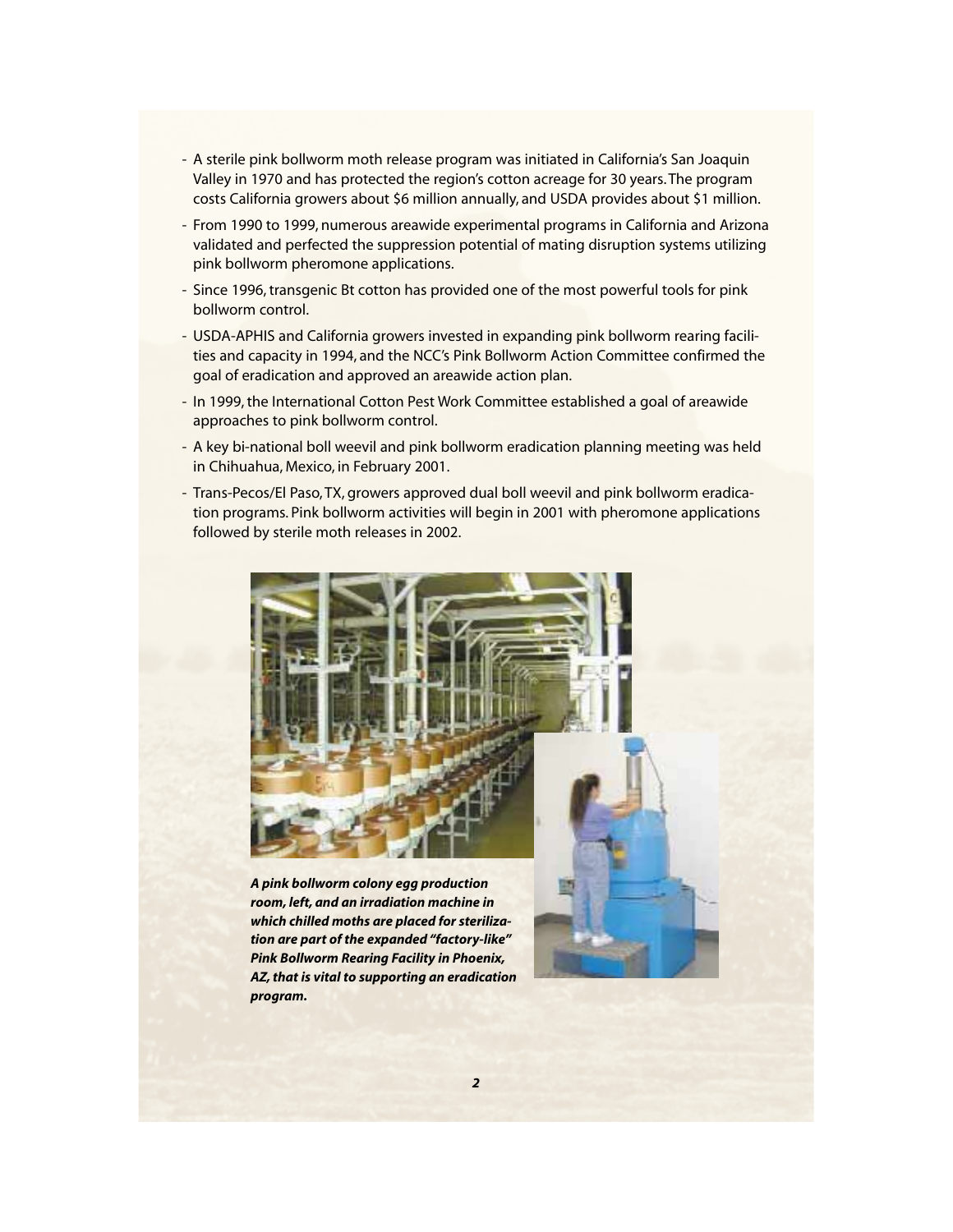- A sterile pink bollworm moth release program was initiated in California's San Joaquin Valley in 1970 and has protected the region's cotton acreage for 30 years. The program costs California growers about \$6 million annually, and USDA provides about \$1 million.
- From 1990 to 1999, numerous areawide experimental programs in California and Arizona validated and perfected the suppression potential of mating disruption systems utilizing pink bollworm pheromone applications.
- Since 1996, transgenic Bt cotton has provided one of the most powerful tools for pink bollworm control.
- USDA-APHIS and California growers invested in expanding pink bollworm rearing facilities and capacity in 1994, and the NCC's Pink Bollworm Action Committee confirmed the goal of eradication and approved an areawide action plan.
- In 1999, the International Cotton Pest Work Committee established a goal of areawide approaches to pink bollworm control.
- A key bi-national boll weevil and pink bollworm eradication planning meeting was held in Chihuahua, Mexico, in February 2001.
- Trans-Pecos/El Paso, TX, growers approved dual boll weevil and pink bollworm eradication programs. Pink bollworm activities will begin in 2001 with pheromone applications followed by sterile moth releases in 2002.



*A pink bollworm colony egg production room, left, and an irradiation machine in which chilled moths are placed for sterilization are part of the expanded "factory-like" Pink Bollworm Rearing Facility in Phoenix, AZ, that is vital to supporting an eradication program.*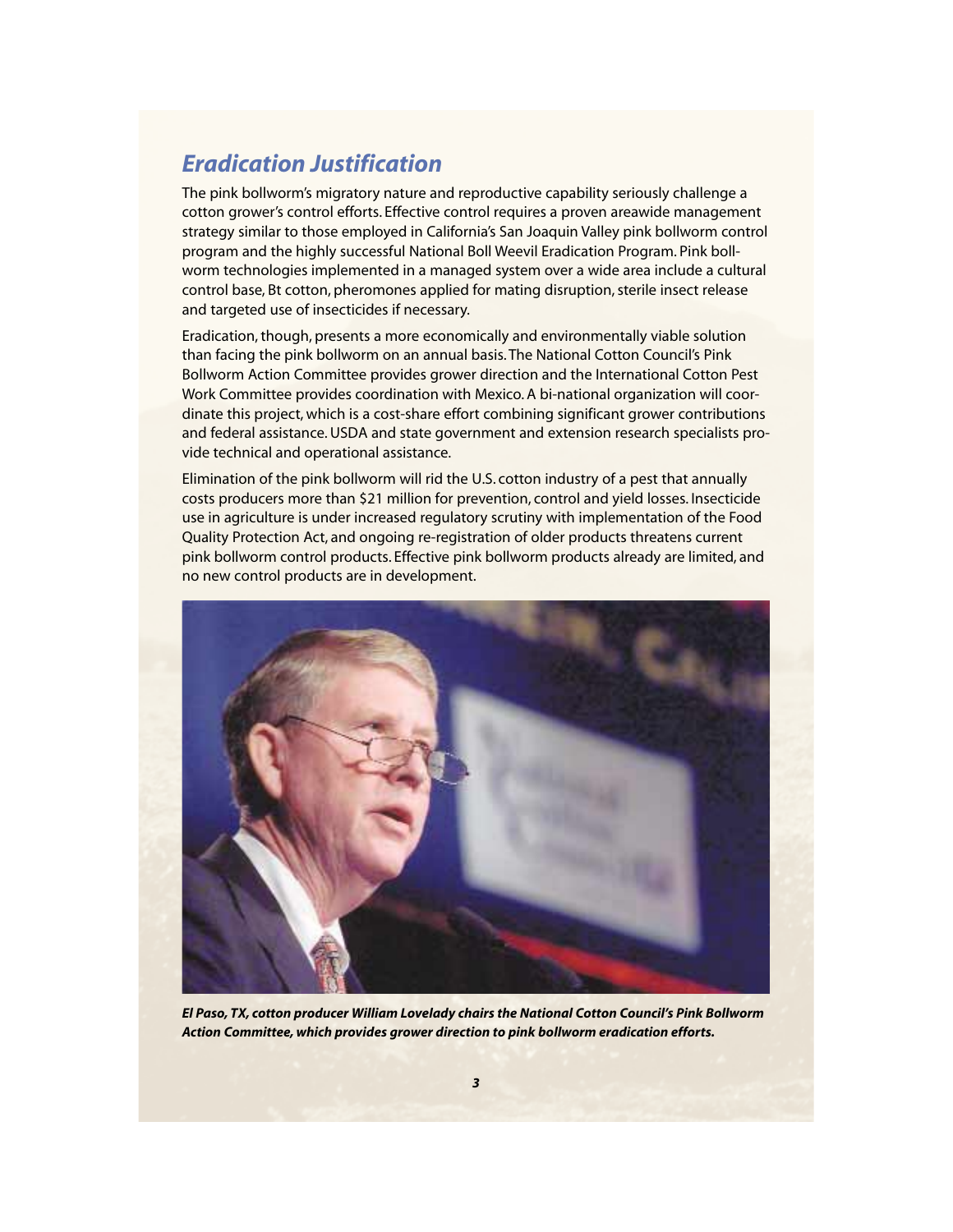#### *Eradication Justification*

The pink bollworm's migratory nature and reproductive capability seriously challenge a cotton grower's control efforts. Effective control requires a proven areawide management strategy similar to those employed in California's San Joaquin Valley pink bollworm control program and the highly successful National Boll Weevil Eradication Program. Pink bollworm technologies implemented in a managed system over a wide area include a cultural control base, Bt cotton, pheromones applied for mating disruption, sterile insect release and targeted use of insecticides if necessary.

Eradication, though, presents a more economically and environmentally viable solution than facing the pink bollworm on an annual basis. The National Cotton Council's Pink Bollworm Action Committee provides grower direction and the International Cotton Pest Work Committee provides coordination with Mexico. A bi-national organization will coordinate this project, which is a cost-share effort combining significant grower contributions and federal assistance. USDA and state government and extension research specialists provide technical and operational assistance.

Elimination of the pink bollworm will rid the U.S. cotton industry of a pest that annually costs producers more than \$21 million for prevention, control and yield losses. Insecticide use in agriculture is under increased regulatory scrutiny with implementation of the Food Quality Protection Act, and ongoing re-registration of older products threatens current pink bollworm control products. Effective pink bollworm products already are limited, and no new control products are in development.



*El Paso, TX, cotton producer William Lovelady chairs the National Cotton Council's Pink Bollworm Action Committee, which provides grower direction to pink bollworm eradication efforts.*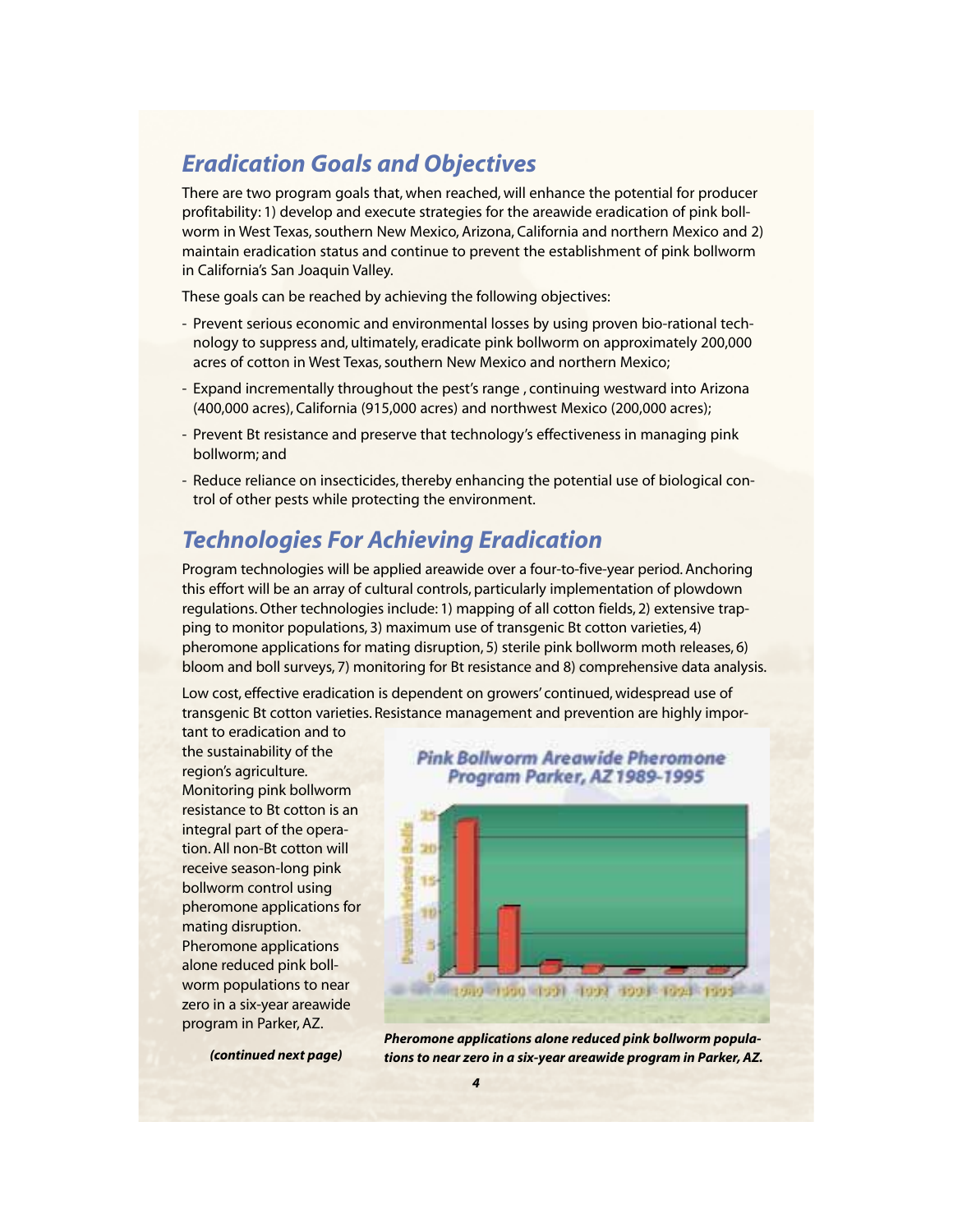#### *Eradication Goals and Objectives*

There are two program goals that, when reached, will enhance the potential for producer profitability: 1) develop and execute strategies for the areawide eradication of pink bollworm in West Texas, southern New Mexico, Arizona, California and northern Mexico and 2) maintain eradication status and continue to prevent the establishment of pink bollworm in California's San Joaquin Valley.

These goals can be reached by achieving the following objectives:

- Prevent serious economic and environmental losses by using proven bio-rational technology to suppress and, ultimately, eradicate pink bollworm on approximately 200,000 acres of cotton in West Texas, southern New Mexico and northern Mexico;
- Expand incrementally throughout the pest's range , continuing westward into Arizona (400,000 acres), California (915,000 acres) and northwest Mexico (200,000 acres);
- Prevent Bt resistance and preserve that technology's effectiveness in managing pink bollworm; and
- Reduce reliance on insecticides, thereby enhancing the potential use of biological control of other pests while protecting the environment.

### *Technologies For Achieving Eradication*

Program technologies will be applied areawide over a four-to-five-year period. Anchoring this effort will be an array of cultural controls, particularly implementation of plowdown regulations. Other technologies include: 1) mapping of all cotton fields, 2) extensive trapping to monitor populations, 3) maximum use of transgenic Bt cotton varieties, 4) pheromone applications for mating disruption, 5) sterile pink bollworm moth releases, 6) bloom and boll surveys, 7) monitoring for Bt resistance and 8) comprehensive data analysis.

Low cost, effective eradication is dependent on growers' continued, widespread use of transgenic Bt cotton varieties. Resistance management and prevention are highly impor-

tant to eradication and to the sustainability of the region's agriculture. Monitoring pink bollworm resistance to Bt cotton is an integral part of the operation. All non-Bt cotton will receive season-long pink bollworm control using pheromone applications for mating disruption. Pheromone applications alone reduced pink bollworm populations to near zero in a six-year areawide program in Parker, AZ.

*(continued next page)*

#### Pink Bollworm Areawide Pheromone Program Parker, AZ 1989-1995



*Pheromone applications alone reduced pink bollworm populations to near zero in a six-year areawide program in Parker, AZ.*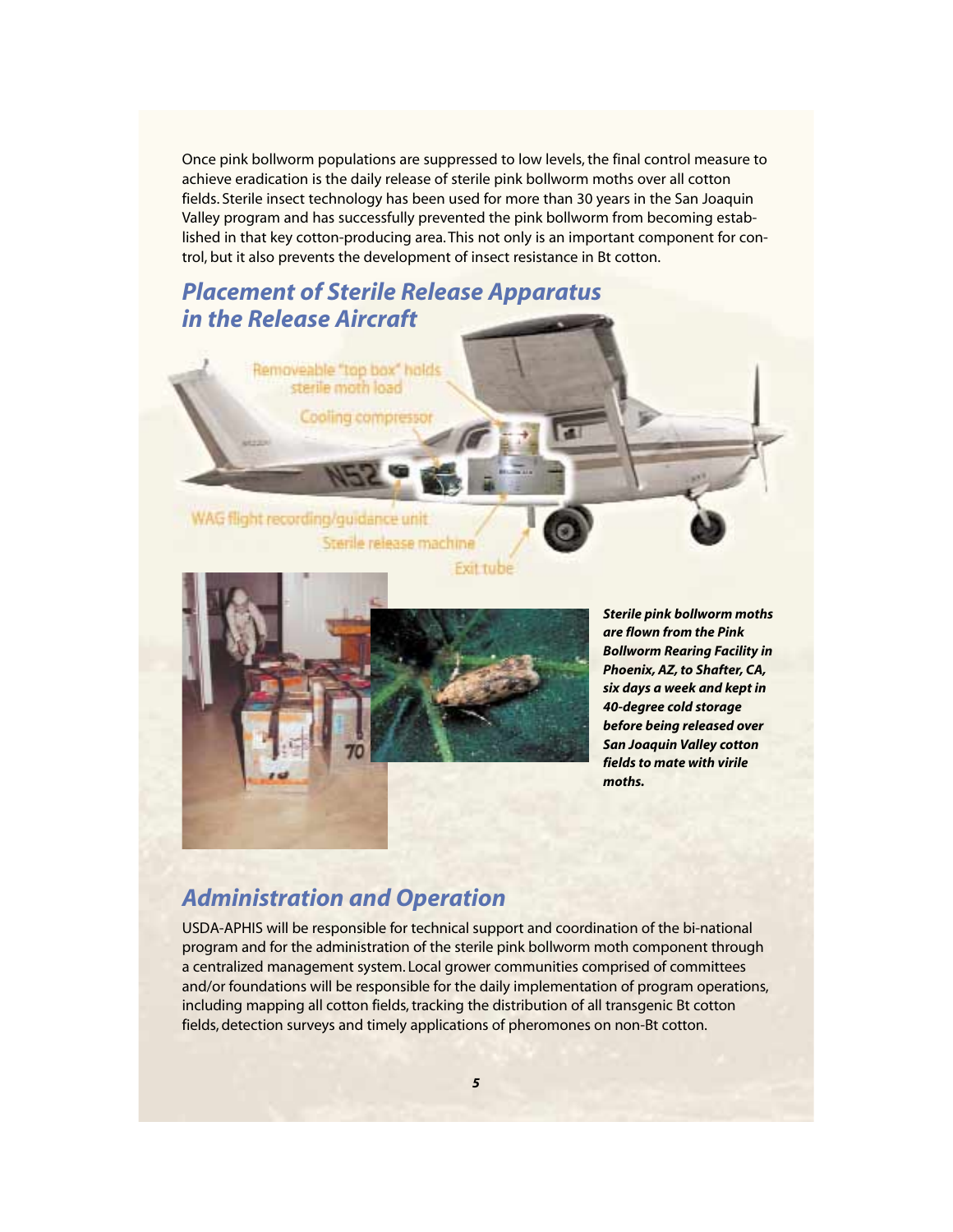Once pink bollworm populations are suppressed to low levels, the final control measure to achieve eradication is the daily release of sterile pink bollworm moths over all cotton fields. Sterile insect technology has been used for more than 30 years in the San Joaquin Valley program and has successfully prevented the pink bollworm from becoming established in that key cotton-producing area. This not only is an important component for control, but it also prevents the development of insect resistance in Bt cotton.

Exit tube

#### *Placement of Sterile Release Apparatus in the Release Aircraft*

WAG flight recording/guidance unit Sterile release machine

Removeable "top box" holds sterile moth load

Cooling compressor



*Sterile pink bollworm moths are flown from the Pink Bollworm Rearing Facility in Phoenix, AZ, to Shafter, CA, six days a week and kept in 40-degree cold storage before being released over San Joaquin Valley cotton fields to mate with virile moths.*

#### *Administration and Operation*

USDA-APHIS will be responsible for technical support and coordination of the bi-national program and for the administration of the sterile pink bollworm moth component through a centralized management system. Local grower communities comprised of committees and/or foundations will be responsible for the daily implementation of program operations, including mapping all cotton fields, tracking the distribution of all transgenic Bt cotton fields, detection surveys and timely applications of pheromones on non-Bt cotton.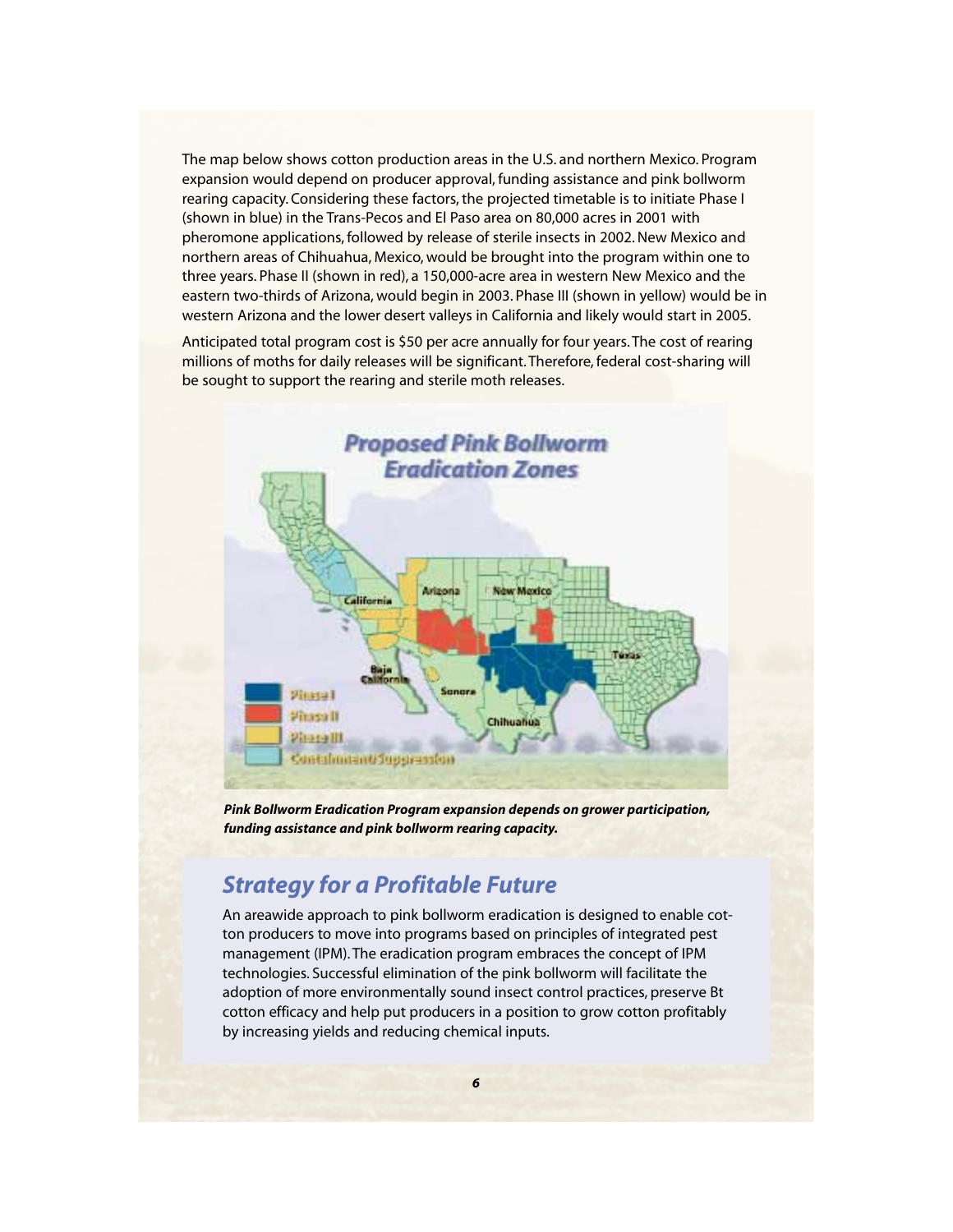The map below shows cotton production areas in the U.S. and northern Mexico. Program expansion would depend on producer approval, funding assistance and pink bollworm rearing capacity. Considering these factors, the projected timetable is to initiate Phase I (shown in blue) in the Trans-Pecos and El Paso area on 80,000 acres in 2001 with pheromone applications, followed by release of sterile insects in 2002. New Mexico and northern areas of Chihuahua, Mexico, would be brought into the program within one to three years. Phase II (shown in red), a 150,000-acre area in western New Mexico and the eastern two-thirds of Arizona, would begin in 2003. Phase III (shown in yellow) would be in western Arizona and the lower desert valleys in California and likely would start in 2005.

Anticipated total program cost is \$50 per acre annually for four years. The cost of rearing millions of moths for daily releases will be significant. Therefore, federal cost-sharing will be sought to support the rearing and sterile moth releases.



*Pink Bollworm Eradication Program expansion depends on grower participation, funding assistance and pink bollworm rearing capacity.*

#### *Strategy for a Profitable Future*

An areawide approach to pink bollworm eradication is designed to enable cotton producers to move into programs based on principles of integrated pest management (IPM). The eradication program embraces the concept of IPM technologies. Successful elimination of the pink bollworm will facilitate the adoption of more environmentally sound insect control practices, preserve Bt cotton efficacy and help put producers in a position to grow cotton profitably by increasing yields and reducing chemical inputs.